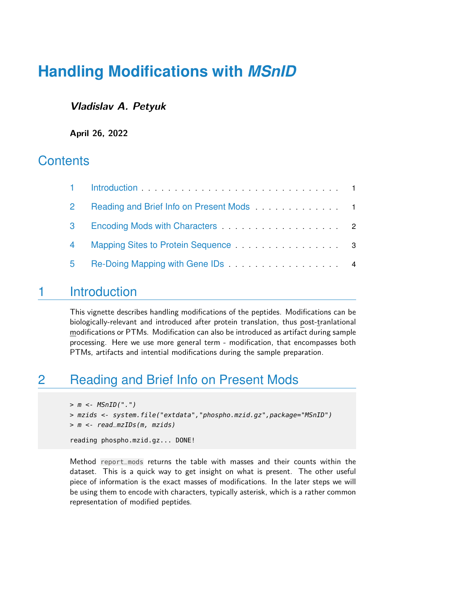# **Handling Modifications with** *MSnID*

#### **Vladislav A. Petyuk**

**April 26, 2022**

## **Contents**

| $\overline{2}$ | Reading and Brief Info on Present Mods<br>1 |  |
|----------------|---------------------------------------------|--|
| 3              |                                             |  |
| $\overline{4}$ | Mapping Sites to Protein Sequence 3         |  |
| 5              |                                             |  |

### <span id="page-0-0"></span>1 Introduction

This vignette describes handling modifications of the peptides. Modifications can be biologically-relevant and introduced after protein translation, thus post-tranlational modifications or PTMs. Modification can also be introduced as artifact during sample processing. Here we use more general term - modification, that encompasses both PTMs, artifacts and intential modifications during the sample preparation.

## <span id="page-0-1"></span>2 Reading and Brief Info on Present Mods

```
> m < - MSnID("."')> mzids <- system.file("extdata","phospho.mzid.gz",package="MSnID")
> m <- read_mzIDs(m, mzids)
reading phospho.mzid.gz... DONE!
```
Method report\_mods returns the table with masses and their counts within the dataset. This is a quick way to get insight on what is present. The other useful piece of information is the exact masses of modifications. In the later steps we will be using them to encode with characters, typically asterisk, which is a rather common representation of modified peptides.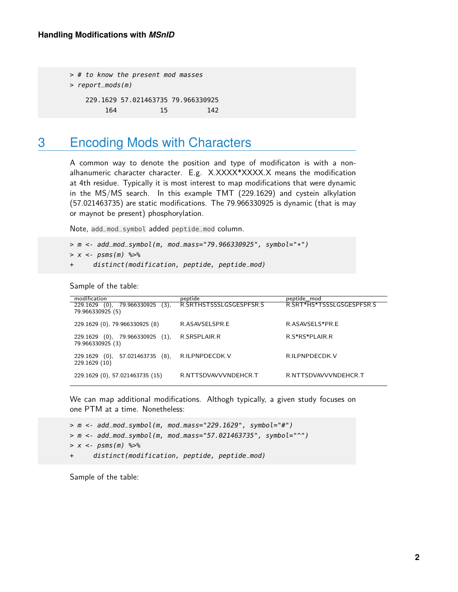> # to know the present mod masses > report\_mods(m) 229.1629 57.021463735 79.966330925 164 15 142

### <span id="page-1-0"></span>3 Encoding Mods with Characters

A common way to denote the position and type of modificaton is with a nonalhanumeric character character. E.g. X.XXXX\*XXXX.X means the modification at 4th residue. Typically it is most interest to map modifications that were dynamic in the MS/MS search. In this example TMT (229.1629) and cystein alkylation (57.021463735) are static modifications. The 79.966330925 is dynamic (that is may or maynot be present) phosphorylation.

Note, add\_mod\_symbol added peptide\_mod column.

```
> m \leq -add_mod_symbol(m, mod_mass="79.966330925", symbol="*")
> x < -psms(m) %>%
```
+ distinct(modification, peptide, peptide\_mod)

Sample of the table:

| modification                                   | peptide                 | peptide mod               |
|------------------------------------------------|-------------------------|---------------------------|
| 79.966330925<br>229.1629<br>(0),<br>(3).       | R.SRTHSTSSSLGSGESPFSR.S | R.SRT*HS*TSSSLGSGESPFSR.S |
| 79.966330925 (5)                               |                         |                           |
| 229.1629 (0), 79.966330925 (8)                 | R.ASAVSELSPR.E          | R.ASAVSELS*PR.E           |
|                                                |                         |                           |
| 229.1629 (0), 79.966330925 (1),                | R.SRSPLAIR.R            | R.S*RS*PLAIR.R            |
| 79.966330925 (3)                               |                         |                           |
|                                                |                         |                           |
| 57.021463735<br>$(8)$ .<br>$(0)$ .<br>229.1629 | R.ILPNPDECDK.V          | R.ILPNPDECDK.V            |
| 229.1629 (10)                                  |                         |                           |
| 229.1629 (0), 57.021463735 (15)                | R.NTTSDVAVVVNDEHCR.T    | R.NTTSDVAVVVNDEHCR.T      |
|                                                |                         |                           |

We can map additional modifications. Althogh typically, a given study focuses on one PTM at a time. Nonetheless:

> m <- add\_mod\_symbol(m, mod\_mass="229.1629", symbol="#") > m <- add\_mod\_symbol(m, mod\_mass="57.021463735", symbol="^")  $> x < -$  psms(m) % $>$ % + distinct(modification, peptide, peptide\_mod)

Sample of the table: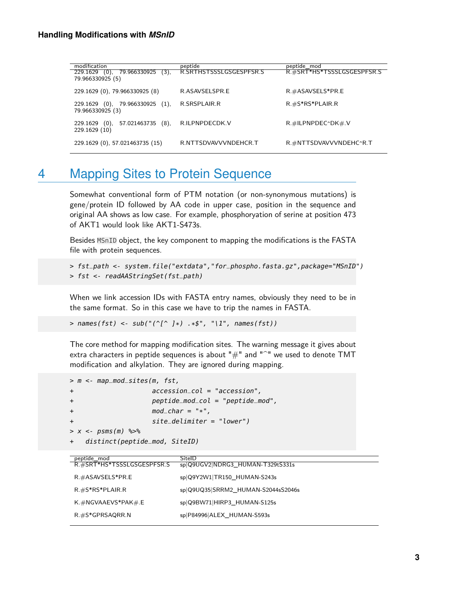| modification                                | peptide                 | peptide mod                |
|---------------------------------------------|-------------------------|----------------------------|
| 79.966330925 (3),<br>229.1629<br>$(0)$ ,    | R.SRTHSTSSSLGSGESPFSR.S | R.#SRT*HS*TSSSLGSGESPFSR.S |
| 79.966330925 (5)                            |                         |                            |
| 229.1629 (0), 79.966330925 (8)              | R.ASAVSELSPR.E          | $R$ #ASAVSELS*PR.E         |
|                                             |                         |                            |
| 79.966330925 (1),<br>(0),<br>229.1629       | R.SRSPLAIR.R            | $R.$ #S*RS*PLAIR.R         |
| 79.966330925 (3)                            |                         |                            |
| 57.021463735<br>$(8)$ .<br>229.1629<br>(0), | R.ILPNPDECDK.V          | $R$ .#ILPNPDEC^DK# V       |
| 229.1629 (10)                               |                         |                            |
|                                             |                         |                            |
| 229.1629 (0), 57.021463735 (15)             | R.NTTSDVAVVVNDEHCR.T    | R.#NTTSDVAVVVNDEHC^R.T     |
|                                             |                         |                            |

### <span id="page-2-0"></span>4 Mapping Sites to Protein Sequence

Somewhat conventional form of PTM notation (or non-synonymous mutations) is gene/protein ID followed by AA code in upper case, position in the sequence and original AA shows as low case. For example, phosphoryation of serine at position 473 of AKT1 would look like AKT1-S473s.

Besides MSnID object, the key component to mapping the modifications is the FASTA file with protein sequences.

```
> fst_path <- system.file("extdata","for_phospho.fasta.gz",package="MSnID")
> fst <- readAAStringSet(fst_path)
```
When we link accession IDs with FASTA entry names, obviously they need to be in the same format. So in this case we have to trip the names in FASTA.

> names(fst) <- sub(" $({^{\wedge}}[^{\wedge}]^*)$  .\*\$", "\1", names(fst))

The core method for mapping modification sites. The warning message it gives about extra characters in peptide sequences is about " $#$ " and " $^{\sim}$ " we used to denote TMT modification and alkylation. They are ignored during mapping.

```
> m <- map_mod_sites(m, fst,
+ accession_col = "accession",
+ peptide_mod_col = "peptide_mod",
+ mod\_char = "*",+ site_delimiter = "lower")
> x < - \text{psms}(m) %>%
   distinct(peptide_mod, SiteID)
```
<span id="page-2-1"></span>

| _peptide_mod<br>__R.#SRT*HS*TSSSLGSGESPFSR.S | SitelD                             |
|----------------------------------------------|------------------------------------|
|                                              | sp Q9UGV2 NDRG3_HUMAN-T329tS331s   |
|                                              |                                    |
| $R. # ASAVSELS*PR.E$                         | sp Q9Y2W1 TR150_HUMAN-S243s        |
|                                              |                                    |
| $R.$ #S*RS*PLAIR.R                           | sp Q9UQ35 SRRM2_HUMAN-S2044sS2046s |
|                                              |                                    |
| K. $\#NGVAAEVS*PAK\#E$                       | sp Q9BW71 HIRP3_HUMAN-S125s        |
|                                              |                                    |
| $R. \#S*GPRSAQRR.N$                          | sp P84996 ALEX_HUMAN-S593s         |
|                                              |                                    |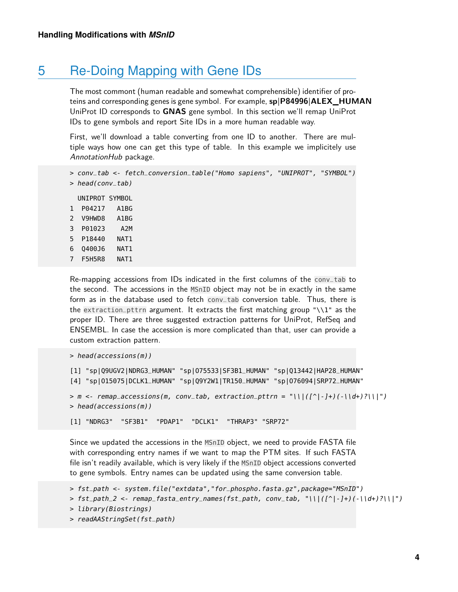### 5 Re-Doing Mapping with Gene IDs

The most commont (human readable and somewhat comprehensible) identifier of proteins and corresponding genes is gene symbol. For example, **sp|P84996|ALEX\_HUMAN** UniProt ID corresponds to **GNAS** gene symbol. In this section we'll remap UniProt IDs to gene symbols and report Site IDs in a more human readable way.

First, we'll download a table converting from one ID to another. There are multiple ways how one can get this type of table. In this example we implicitely use AnnotationHub package.

```
> conv_tab <- fetch_conversion_table("Homo sapiens", "UNIPROT", "SYMBOL")
> head(conv_tab)
```
UNIPROT SYMBOL 1 P04217 A1BG 2 V9HWD8 A1BG 3 P01023 A2M 5 P18440 NAT1 6 Q400J6 NAT1 7 F5H5R8 NAT1

Re-mapping accessions from IDs indicated in the first columns of the conv\_tab to the second. The accessions in the MSnID object may not be in exactly in the same form as in the database used to fetch conv\_tab conversion table. Thus, there is the extraction\_pttrn argument. It extracts the first matching group "\\1" as the proper ID. There are three suggested extraction patterns for UniProt, RefSeq and ENSEMBL. In case the accession is more complicated than that, user can provide a custom extraction pattern.

```
> head(accessions(m))
```

```
[1] "sp|Q9UGV2|NDRG3_HUMAN" "sp|O75533|SF3B1_HUMAN" "sp|Q13442|HAP28_HUMAN"
[4] "sp|O15075|DCLK1_HUMAN" "sp|Q9Y2W1|TR150_HUMAN" "sp|O76094|SRP72_HUMAN"
> m < - remap_accessions(m, conv_tab, extraction_pttrn = "\\|([^|-]+)(-\\d+)?\\|")
> head(accessions(m))
[1] "NDRG3" "SF3B1" "PDAP1" "DCLK1" "THRAP3" "SRP72"
```
Since we updated the accessions in the MSnID object, we need to provide FASTA file with corresponding entry names if we want to map the PTM sites. If such FASTA file isn't readily available, which is very likely if the MSnID object accessions converted

```
to gene symbols. Entry names can be updated using the same conversion table.
```

```
> fst_path <- system.file("extdata","for_phospho.fasta.gz",package="MSnID")
> fst_path_2 <- remap_fasta_entry_names(fst_path, conv_tab, "\\\([') - ] +)(-\\d+)?\\\")
> library(Biostrings)
```

```
> readAAStringSet(fst_path)
```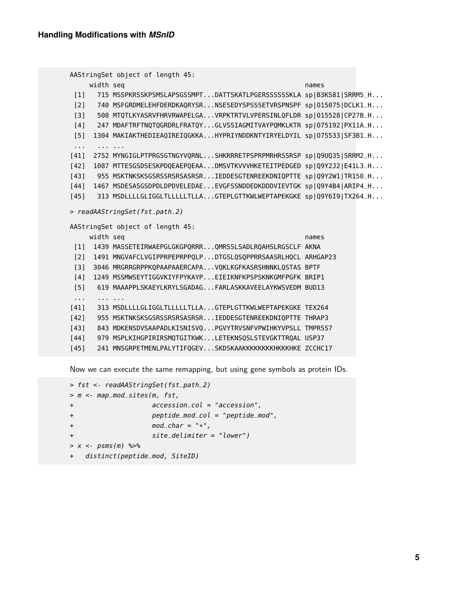```
AAStringSet object of length 45:
      width seq names and the sequence of the sequence of the sequence of the sequence of the sequence of the sequence of the sequence of the sequence of the sequence of the sequence of the sequence of the sequence of the sequen
 [1] 715 MSSPKRSSKPSMSLAPSGSSMPT...DATTSKATLPGERSSSSSSKLA sp|B3KS81|SRRM5_H...
 [2] 740 MSFGRDMELEHFDERDKAQRYSR...NSESEDYSPSSSETVRSPNSPF sp|015075|DCLK1_H...
 [3] 508 MTQTLKYASRVFHRVRWAPELGA...VRPKTRTVLVPERSINLQFLDR sp|O15528|CP27B_H...
 [4] 247 MDAFTRFTNQTQGRDRLFRATQY...GLVSSIAGMITVAYPQMKLKTR sp|O75192|PX11A_H...
 [5] 1304 MAKIAKTHEDIEAQIREIQGKKA...HYPRIYNDDKNTYIRYELDYIL sp|075533|SF3B1_H...
 ... ... ...
[41] 2752 MYNGIGLPTPRGSGTNGYVQRNL...SHKRRRETPSPRPMRHRSSRSP sp|Q9UQ35|SRRM2_H...
[42] 1087 MTTESGSDSESKPDQEAEPQEAA...DMSVTKVVVHKETEITPEDGED sp|Q9Y2J2|E41L3_H...
[43] 955 MSKTNKSKSGSRSSRSRSASRSR...IEDDESGTENREEKDNIQPTTE sp|Q9Y2W1|TR150_H...
[44] 1467 MSDESASGSDPDLDPDVELEDAE...EVGFSSNDDEDKDDDVIEVTGK sp|Q9Y4B4|ARIP4_H...
[45] 313 MSDLLLLGLIGGLTLLLLLTLLA...GTEPLGTTKWLWEPTAPEKGKE sp|Q9Y6I9|TX264_H...
> readAAStringSet(fst_path_2)
AAStringSet object of length 45:
      width seq names and the sequence of the sequence of the sequence of the sequence of the sequence of the sequence of the sequence of the sequence of the sequence of the sequence of the sequence of the sequence of the sequen
 [1] 1439 MASSETEIRWAEPGLGKGPQRRR...QMRSSLSADLRQAHSLRGSCLF AKNA
 [2] 1491 MNGVAFCLVGIPPRPEPRPPQLP...DTGSLQSQPPRRSAASRLHQCL ARHGAP23
 [3] 3046 MRGRRGRPPKQPAAPAAERCAPA...VQKLKGFKASRSHNNKLQSTAS BPTF
 [4] 1249 MSSMWSEYTIGGVKIYFPYKAYP...EIEIKNFKPSPSKNKGMFPGFK BRIP1
 [5] 619 MAAAPPLSKAEYLKRYLSGADAG...FARLASKKAVEELAYKWSVEDM BUD13
 ... ... ...
[41] 313 MSDLLLLGLIGGLTLLLLLTLLA...GTEPLGTTKWLWEPTAPEKGKE TEX264
[42] 955 MSKTNKSKSGSRSSRSRSASRSR...IEDDESGTENREEKDNIQPTTE THRAP3
[43] 843 MDKENSDVSAAPADLKISNISVQ...PGVYTRVSNFVPWIHKYVPSLL TMPRSS7
[44] 979 MSPLKIHGPIRIRSMQTGITKWK...LETEKNSQSLSTEVGKTTRQAL USP37
[45] 241 MNSGRPETMENLPALYTIFQGEV...SKDSKAAKKKKKKKKKKKKKHKE ZCCHC17
```
Now we can execute the same remapping, but using gene symbols as protein IDs.

```
> fst <- readAAStringSet(fst_path_2)
> m <- map_mod_sites(m, fst,
+ accession_col = "accession",
+ peptide_mod_col = "peptide_mod",
mod\_char = "*",+ site_delimiter = "lower")
> x < - psms(m) %>%
+ distinct(peptide_mod, SiteID)
```